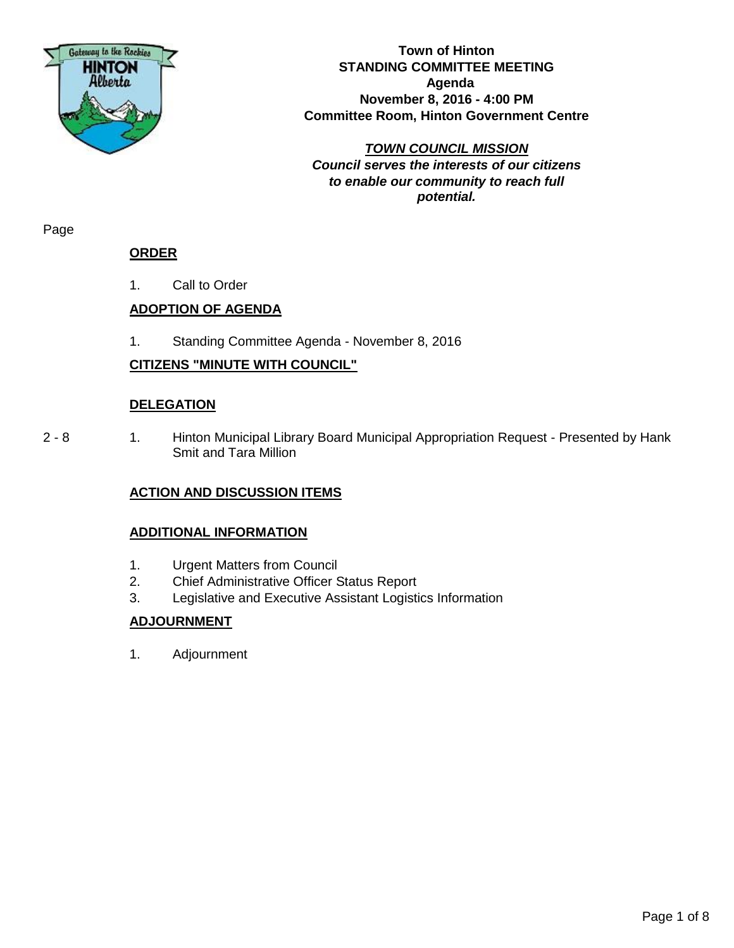

**Town of Hinton STANDING COMMITTEE MEETING Agenda November 8, 2016 - 4:00 PM Committee Room, Hinton Government Centre**

*TOWN COUNCIL MISSION Council serves the interests of our citizens to enable our community to reach full potential.*

Page

#### **ORDER**

1. Call to Order

## **ADOPTION OF AGENDA**

1. Standing Committee Agenda - November 8, 2016

## **CITIZENS "MINUTE WITH COUNCIL"**

#### **DELEGATION**

2 - 8 1. Hinton Municipal Library Board Municipal Appropriation Request - Presented by Hank Smit and Tara Million

#### **ACTION AND DISCUSSION ITEMS**

#### **ADDITIONAL INFORMATION**

- 1. Urgent Matters from Council
- 2. Chief Administrative Officer Status Report
- 3. Legislative and Executive Assistant Logistics Information

#### **ADJOURNMENT**

1. Adjournment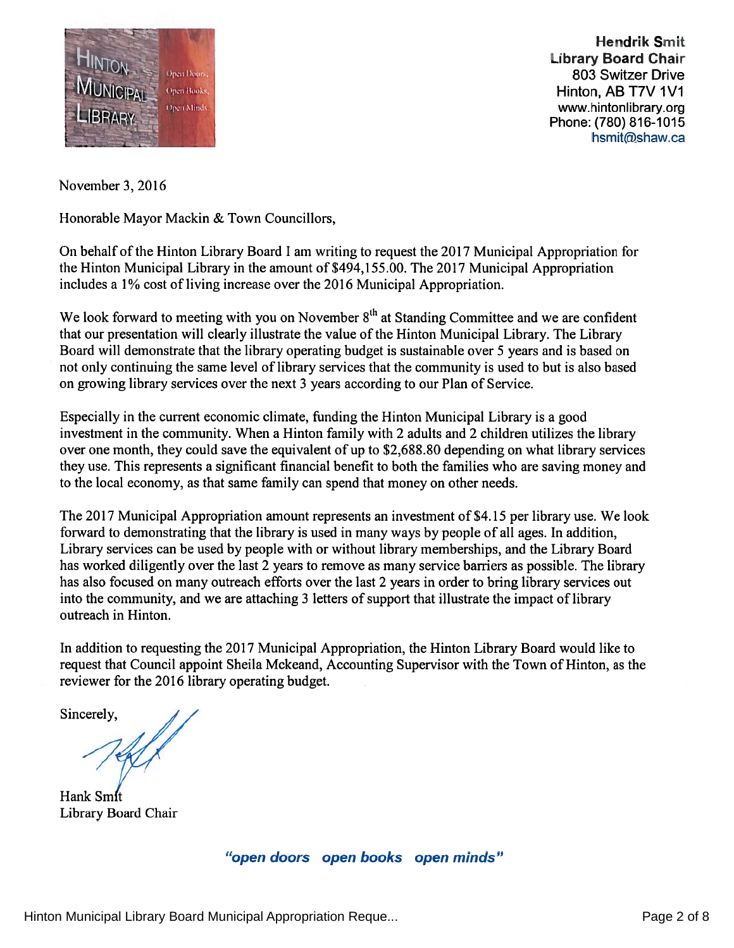

**Hendrik Smit** Library Board Chair 803 Switzer Drive Hinton, AB T7V 1V1 www.hintonlibrary.org Phone: (780) 816-1015 hsmit@shaw.ca

November 3, 2016

Honorable Mayor Mackin & Town Councillors,

On behalf of the Hinton Library Board I am writing to reques<sup>t</sup> the 2017 Municipal Appropriation for the Hinton Municipal Library in the amount of \$494, 1 55.00. The 2017 Municipal Appropriation includes <sup>a</sup> 1% cost of living increase over the 2016 Municipal Appropriation.

We look forward to meeting with you on November  $8<sup>th</sup>$  at Standing Committee and we are confident that our presentation will clearly illustrate the value of the Hinton Municipal Library. The Library Board will demonstrate that the library operating budget is sustainable over 5 years and is based on not only continuing the same level of library services that the community is used to but is also based on growing library services over the next 3 years according to our Plan of Service.

Especially in the current economic climate, funding the Hinton Municipal Library is <sup>a</sup> good investment in the community. When <sup>a</sup> Hinton family with 2 adults and 2 children utilizes the library over one month, they could save the equivalent of up to \$2,688.80 depending on what library services they use. This represents <sup>a</sup> significant financial benefit to both the families who are saving money and to the local economy, as that same family can spend that money on other needs.

The 2017 Municipal Appropriation amount represents an investment of \$4.15 per library use. We look forward to demonstrating that the library is used in many ways by people of all ages. In addition, Library services can be used by people with or without library memberships, and the Library Board has worked diligently over the last 2 years to remove as many service barriers as possible. The library has also focused on many outreach efforts over the last 2 years in order to bring library services out into the community, and we are attaching 3 letters of suppor<sup>t</sup> that illustrate the impact of library outreach in Hinton.

In addition to requesting the 2017 Municipal Appropriation, the Hinton Library Board would like to reques<sup>t</sup> that Council appoint Sheila Mckeand, Accounting Supervisor with the Town of Hinton, as the reviewer for the 2016 library operating budget.

Sincerely,

Hank Smit Library Board Chair

"open doors open books open minds"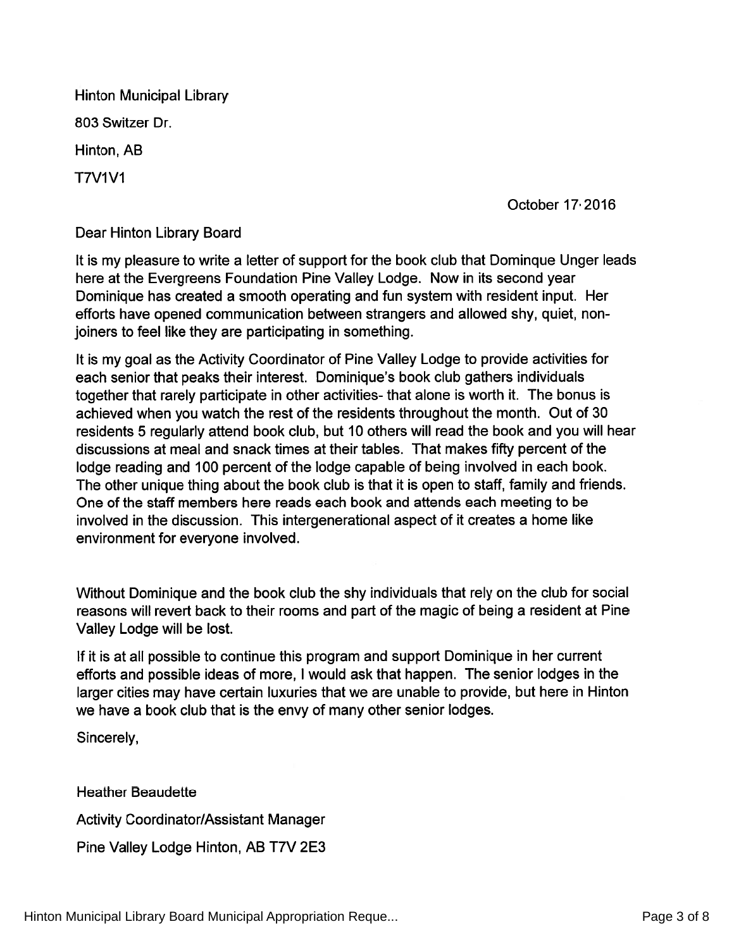Hinton Municipal Library 803 Switzer Dr. Hinton, AB **T7V1V1** 

October 17 2016

Dear Hinton Library Board

It is my pleasure to write <sup>a</sup> letter of suppor<sup>t</sup> for the book club that Dominque Unger leads here at the Evergreens Foundation Pine Valley Lodge. Now in its second year Dominique has created <sup>a</sup> smooth operating and fun system with resident input. Her efforts have opened communication between strangers and allowed shy, quiet, non joiners to feel like they are participating in something.

It is my goal as the Activity Coordinator of Pine Valley Lodge to provide activities for each senior that peaks their interest. Dominique's book club gathers individuals together that rarely participate in other activities- that alone is worth it. The bonus is achieved when you watch the rest of the residents throughout the month. Out of 30 residents 5 regularly attend book club, but 10 others will read the book and you will hear discussions at meal and snack times at their tables. That makes fifty percen<sup>t</sup> of the lodge reading and 100 percen<sup>t</sup> of the lodge capable of being involved in each book. The other unique thing about the book club is that it is open to staff, family and friends. One of the staff members here reads each book and attends each meeting to be involved in the discussion. This intergenerational aspec<sup>t</sup> of it creates <sup>a</sup> home like environment for everyone involved.

Without Dominique and the book club the shy individuals that rely on the club for social reasons will revert back to their rooms and par<sup>t</sup> of the magic of being <sup>a</sup> resident at Pine Valley Lodge will be lost.

If it is at all possible to continue this program and suppor<sup>t</sup> Dominique in her current efforts and possible ideas of more, <sup>I</sup> would ask that happen. The senior lodges in the larger cities may have certain luxuries that we are unable to provide, but here in Hinton we have <sup>a</sup> book club that is the envy of many other senior lodges.

Sincerely,

Heather Beaudette Activity Coordinator/Assistant Manager Pine Valley Lodge Hinton, AB T7V 2E3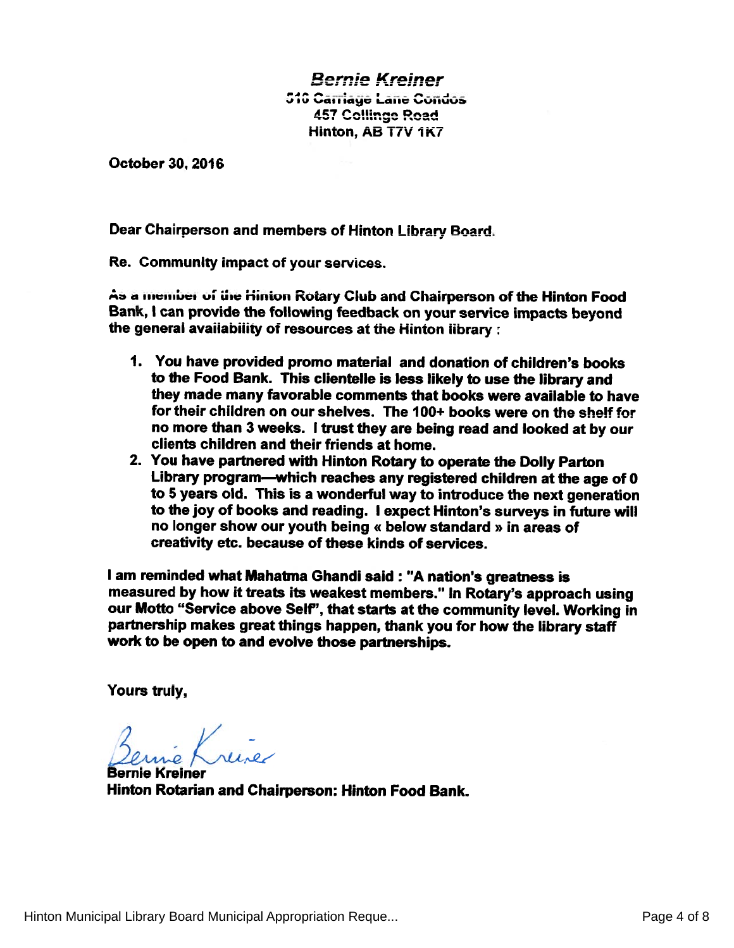# **Bernie Kreiner** 516 Carriage Lane Condos 457 Collin Hinton, AB T7V 1K7

October 30. 2016

Dear Chairperson and members of Hinton Library Board.

Re. Community impact of your services.

As a member of the Hinton Rotary Club and Chairperson of the Hinton Food Bank, <sup>I</sup> can provide the following feedback on your service impacts beyond the genera<sup>i</sup> avaiiabiiity of resources at the Hinton iibrary:

- 1. You have provided promo material and donation of children's books to the Food Bank. This clientelle is less likely to use the library and they made many favorable comments that books were available to have for their children on our shelves. The 100+ books were on the shelf for no more than <sup>3</sup> weeks. <sup>I</sup> trust they are being read and looked at by our clients children and their friends at home.
- 2. You have partnered with Hinton Rotary to operate the Dolly Patton Library program—which reaches any registered children at the age of <sup>0</sup> to <sup>5</sup> years old. This is <sup>a</sup> wonderful way to introduce the next generation to the joy of books and reading. <sup>I</sup> expec<sup>t</sup> Hinton's surveys in future will no longer show our youth being « below standard » in areas of creativity etc. because of these kinds of services.

<sup>I</sup> am reminded what Mahatma Ghandi said : "A nation's greatness is measured by how it treats its weakest members." In Rotary's approac<sup>h</sup> using our Motto "Service above Self", that starts at the community level. Working in partnership makes grea<sup>t</sup> things happen, thank you for how the library staff work to be open to and evolve those partnerships.

Yours truly,

é Krise

Bernie Kreiner Hinton Rotarian and Chairperson: Hinton Food Bank.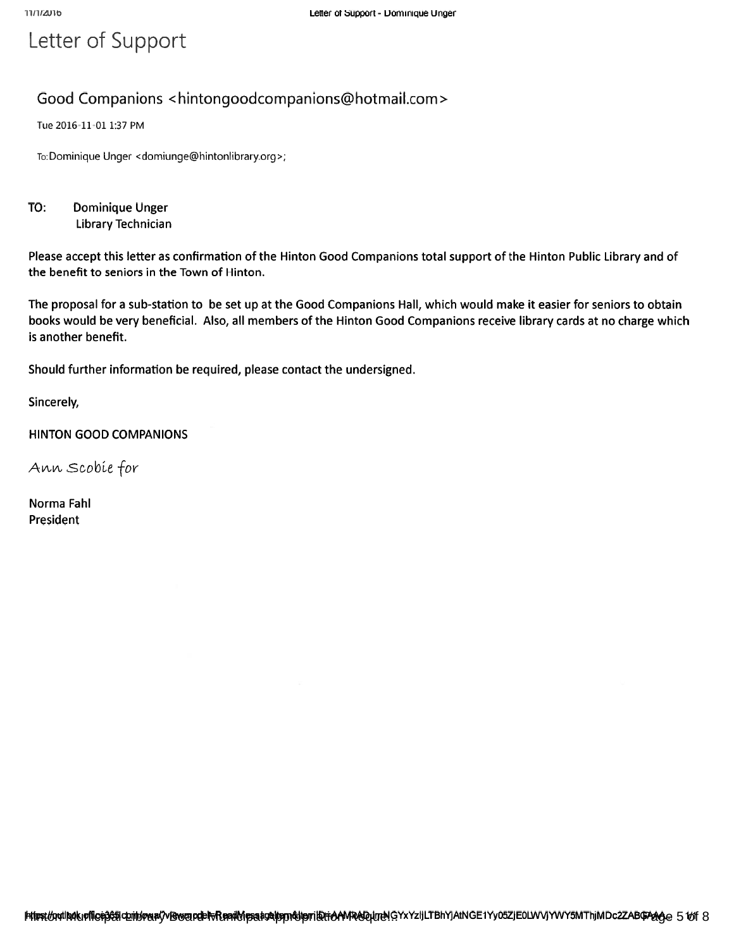# Letter of Support

# Good Companions <hintongoodcompanions@hotmail.com>

Tue 2016-11-01 1:37 PM

To: Dominique Unger <domiunge@hintonlibrary.org>;

TO: Dominique Unger Library Technician

Please accep<sup>t</sup> this letter as confirmation of the Hinton Good Companions total suppor<sup>t</sup> of the Hinton Public Library and of the benefit to seniors in the Town of Hinton.

The proposal for <sup>a</sup> sub-station to be set up at the Good Companions Hall, which would make it easier for seniors to obtain books would be very beneficial. Also, all members of the Hinton Good Companions receive library cards at no charge which is another benefit.

Should further information be required, please contact the undersigned.

Sincerely,

HINTON GOOD COMPANIONS

Ann Scobie for

Norma FahI President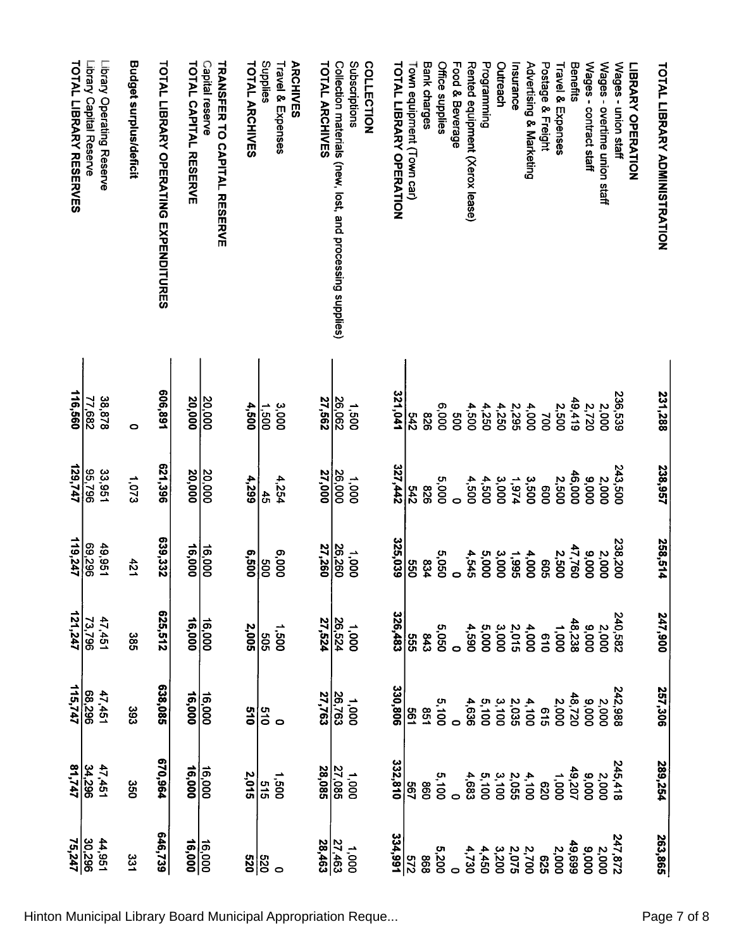| <b>TOTAL LIBRARY RESERVES</b> | Library Capital Reserve | Library Operating Reserve | Budget surplus/deficit | <b>TOTAL LIBRARY OPERATING EXPENDITURES</b> | <b>TOTAL CAPITAL RESERVE</b> | Capital reserve<br><b>TRANSFER TO CAPITAL RESERVE</b> | <b>TOTAL ARCHIVES</b> | Supplies               | <b>ARCHIVES</b><br>Travel & Expenses | <b>TOTAL ARCHIVES</b>   | Collection materials (new, lost, and processing supplies) | Subscriptions<br>COLLECTION | <b>TOTAL LIBRARY OPERATION</b> | Town equipment (Town car) | <b>Bank charges</b> | <b>Office supplies</b> | Food & Beverage | Rented equipment (Xerox lease)                                                                             | Programming                                                        | Outreach | Insurance    | Advertising & Marketing | Postage & Freight | Travel & Expenses | Benefits        | Wages - contract staff | Wages - overtime union staff                           | Wages - union staff | <b>LIBRAKA OPERATION</b> | <b>TOTAL LIBRARY ADMINISTRATION</b> |  |
|-------------------------------|-------------------------|---------------------------|------------------------|---------------------------------------------|------------------------------|-------------------------------------------------------|-----------------------|------------------------|--------------------------------------|-------------------------|-----------------------------------------------------------|-----------------------------|--------------------------------|---------------------------|---------------------|------------------------|-----------------|------------------------------------------------------------------------------------------------------------|--------------------------------------------------------------------|----------|--------------|-------------------------|-------------------|-------------------|-----------------|------------------------|--------------------------------------------------------|---------------------|--------------------------|-------------------------------------|--|
| 116,560                       | 77,682                  | 38,878                    | $\bullet$              | 606,891                                     | 20,000                       | 20,000                                                | 4,500                 | $\frac{1.500}{1}$      | 3,000                                | 27,562                  | 26,062                                                    | 1,500                       | 321,041                        | 242                       | 826                 | 6,000                  | <b>900</b>      | 4,500                                                                                                      | 4,250                                                              | 4,250    | <b>2,295</b> | 4,000                   | 200               | 2,500             | 49,419          | 2,720                  | 2,000                                                  | 236,539             |                          | 231,288                             |  |
| 129,747                       | 96 <sup>7</sup> 36      | 33,951                    | 1,073                  | 621,396                                     | 20,000                       | 20,000                                                | 4,299                 | $\frac{4}{5}$          | 4,254                                | 27,000                  | 26,000                                                    | 1,000                       | 327,442                        | 542                       | 928                 | 5,000                  | $\circ$         | 4,500                                                                                                      | 4,500                                                              | 3,000    | 1,974        | 3,500                   | 800               | 2,500             | 46,000          | 000'6                  | 2,000                                                  | 243,500             |                          | 238,957                             |  |
| 119,247                       | 69,296                  | 49,951                    | 421                    | 639,332                                     | 16,000                       | 16,000                                                | 005'9                 | 009                    | 6,000                                | 27,260                  | 26,260                                                    | 0001                        | 325,039                        | 099                       | 834                 | 5,050                  | $\circ$         | 4,545                                                                                                      | 5,000                                                              | 3,000    | 1,995        | 4,000                   | 909               | 2,500             | 47,760          | 000'6                  | 2,000                                                  | 238,200             |                          | 258,514                             |  |
| $\frac{73,796}{121,247}$      |                         | 47,451                    | 385                    | 625,512                                     | 16,000                       | 16,000                                                |                       | $\frac{1,5005}{2,005}$ |                                      |                         | $\frac{1,000}{27,524}$<br>27,524                          |                             | 326,483                        | 555                       |                     | 5,050<br>843           |                 | 4,590                                                                                                      |                                                                    |          |              |                         |                   | 1,000             | 9,000<br>48,238 |                        | 2,000                                                  | 240,582             |                          | 247,900                             |  |
| 115,747                       |                         | 47,451<br>68,296          | 393                    | 638,085                                     | 16,000                       | 16,000                                                | $\frac{5}{10}$        | 019                    |                                      |                         | 26,763<br>27,763                                          | 0001                        | 330,806                        | <b>199</b>                |                     | 5,100<br>851           |                 | 4,636                                                                                                      |                                                                    |          |              |                         | 919               | 2,000             | 48,720          | 000'6                  | 2,000                                                  | 242,988             |                          | 257,306                             |  |
| 81,747                        | $\frac{34,296}{ }$      | 47,451                    | 350                    | 670,964                                     | 16,000                       | 16,000                                                | 2,015                 | 515                    | 1,500                                | 28,085                  |                                                           | $\frac{1,000}{27,085}$      | 332,810                        | ခြွ                       | 098                 | 5,100                  |                 | 4,683                                                                                                      | $4.49$<br>$4.49$<br>$4.49$<br>$4.49$<br>$4.49$<br>$4.49$<br>$4.49$ |          |              |                         |                   | 0001              |                 |                        | $\begin{array}{c} 2,000 \\ 9,000 \\ 9,000 \end{array}$ | 245,418             |                          | 289,254                             |  |
| 30,296<br>75,247              |                         | 44,951                    | 331                    | 646,739                                     | 16,000<br>16,000             |                                                       | 0ZS                   | <br> 8                 |                                      | $\frac{27,463}{28,463}$ |                                                           | 000 <sup>+</sup>            | 334,991                        | $\overline{213}$          | 898                 | 5,200                  |                 | $\begin{array}{c} 0.770 \\ 0.700 \\ 0.070 \\ 0.070 \\ 0.070 \\ 0.00 \\ 0.00 \\ 0.00 \\ \hline \end{array}$ |                                                                    |          |              |                         |                   | 49,699<br>2,000   |                 | 000'6                  | 2,000                                                  | 247,872             |                          | 263,865                             |  |

Hinton Municipal Library Board Municipal Appropriation Reque... **Page 7 of 8** Page 7 of 8